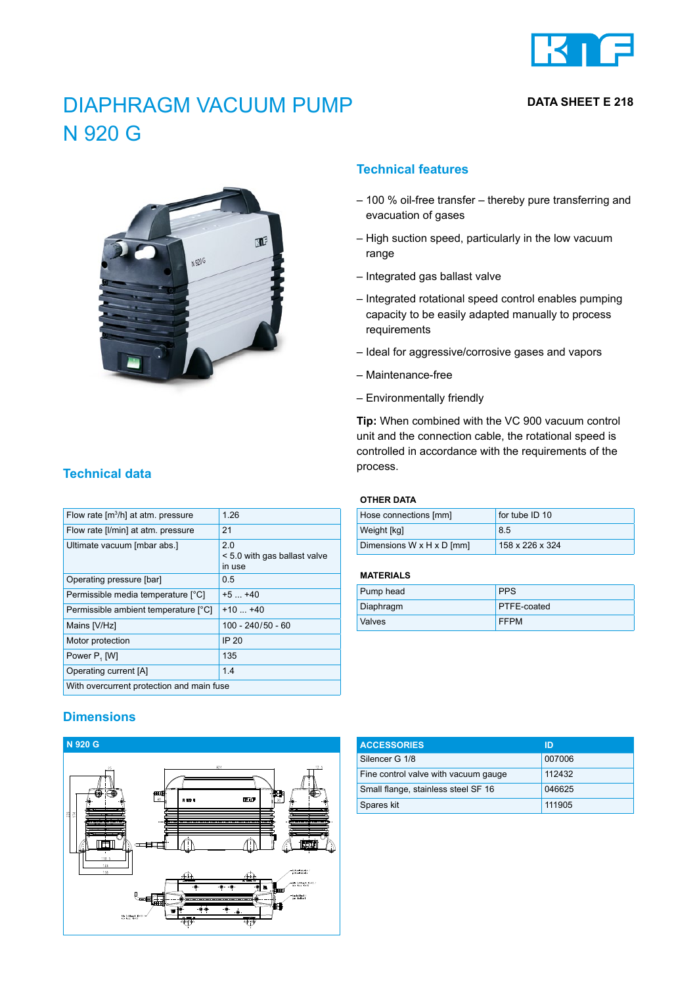

**DATA SHEET E 218**

# DIAPHRAGM VACUUM PUMP N 920 G



## **Technical features**

- 100 % oil-free transfer thereby pure transferring and evacuation of gases
- High suction speed, particularly in the low vacuum range
- Integrated gas ballast valve
- Integrated rotational speed control enables pumping capacity to be easily adapted manually to process requirements
- Ideal for aggressive/corrosive gases and vapors
- Maintenance-free
- Environmentally friendly

**Tip:** When combined with the VC 900 vacuum control unit and the connection cable, the rotational speed is controlled in accordance with the requirements of the process.

#### **OTHER DATA**

| Hose connections [mm]     | for tube ID 10  |
|---------------------------|-----------------|
| Weight [kg]               | 8.5             |
| Dimensions W x H x D [mm] | 158 x 226 x 324 |

#### **MATERIALS**

| Pump head | <b>PPS</b>         |
|-----------|--------------------|
| Diaphragm | <b>PTFE-coated</b> |
| Valves    | <b>FFPM</b>        |

## **Dimensions**

With overcurrent protection and main fuse



| <b>ACCESSORIES</b>                   | ID     |
|--------------------------------------|--------|
| Silencer G 1/8                       | 007006 |
| Fine control valve with vacuum gauge | 112432 |
| Small flange, stainless steel SF 16  | 046625 |
| Spares kit                           | 111905 |

## **Technical data**

| Flow rate [m <sup>3</sup> /h] at atm. pressure | 1 26                                         |
|------------------------------------------------|----------------------------------------------|
| Flow rate [I/min] at atm. pressure             | 21                                           |
| Ultimate vacuum [mbar abs.]                    | 20<br>< 5.0 with gas ballast valve<br>in use |
| Operating pressure [bar]                       | 0.5                                          |
| Permissible media temperature [°C]             | $+5$ $+40$                                   |
| Permissible ambient temperature [°C]           | $+10 +40$                                    |
| Mains [V/Hz]                                   | 100 - 240/50 - 60                            |
| Motor protection                               | IP 20                                        |
| Power P, [W]                                   | 135                                          |
| Operating current [A]                          | 14                                           |